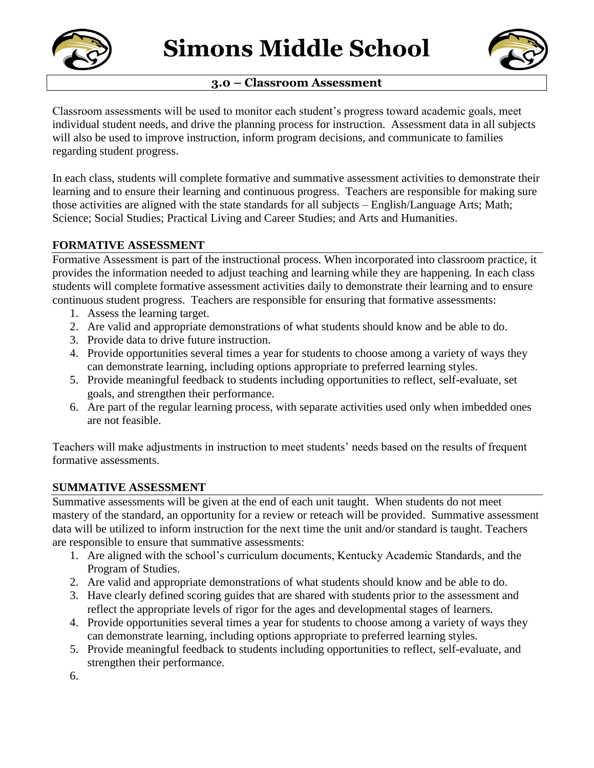

# **3.0 – Classroom Assessment**



Classroom assessments will be used to monitor each student's progress toward academic goals, meet individual student needs, and drive the planning process for instruction. Assessment data in all subjects will also be used to improve instruction, inform program decisions, and communicate to families regarding student progress.

In each class, students will complete formative and summative assessment activities to demonstrate their learning and to ensure their learning and continuous progress. Teachers are responsible for making sure those activities are aligned with the state standards for all subjects – English/Language Arts; Math; Science; Social Studies; Practical Living and Career Studies; and Arts and Humanities.

## **FORMATIVE ASSESSMENT**

Formative Assessment is part of the instructional process. When incorporated into classroom practice, it provides the information needed to adjust teaching and learning while they are happening. In each class students will complete formative assessment activities daily to demonstrate their learning and to ensure continuous student progress. Teachers are responsible for ensuring that formative assessments:

- 1. Assess the learning target.
- 2. Are valid and appropriate demonstrations of what students should know and be able to do.
- 3. Provide data to drive future instruction.
- 4. Provide opportunities several times a year for students to choose among a variety of ways they can demonstrate learning, including options appropriate to preferred learning styles.
- 5. Provide meaningful feedback to students including opportunities to reflect, self-evaluate, set goals, and strengthen their performance.
- 6. Are part of the regular learning process, with separate activities used only when imbedded ones are not feasible.

Teachers will make adjustments in instruction to meet students' needs based on the results of frequent formative assessments.

## **SUMMATIVE ASSESSMENT**

Summative assessments will be given at the end of each unit taught. When students do not meet mastery of the standard, an opportunity for a review or reteach will be provided. Summative assessment data will be utilized to inform instruction for the next time the unit and/or standard is taught. Teachers are responsible to ensure that summative assessments:

- 1. Are aligned with the school's curriculum documents, Kentucky Academic Standards, and the Program of Studies.
- 2. Are valid and appropriate demonstrations of what students should know and be able to do.
- 3. Have clearly defined scoring guides that are shared with students prior to the assessment and reflect the appropriate levels of rigor for the ages and developmental stages of learners.
- 4. Provide opportunities several times a year for students to choose among a variety of ways they can demonstrate learning, including options appropriate to preferred learning styles.
- 5. Provide meaningful feedback to students including opportunities to reflect, self-evaluate, and strengthen their performance.

6.